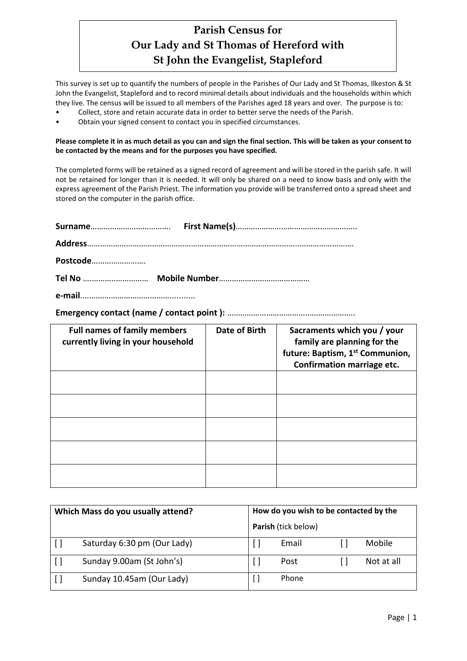# **Parish Census for Our Lady and St Thomas of Hereford with St John the Evangelist, Stapleford**

This survey is set up to quantify the numbers of people in the Parishes of Our Lady and St Thomas, Ilkeston & St John the Evangelist, Stapleford and to record minimal details about individuals and the households within which they live. The census will be issued to all members of the Parishes aged 18 years and over. The purpose is to:

- Collect, store and retain accurate data in order to better serve the needs of the Parish.
- Obtain your signed consent to contact you in specified circumstances.

#### **Please complete it in as much detail as you can and sign the final section. This will be taken as your consent to be contacted by the means and for the purposes you have specified.**

The completed forms will be retained as a signed record of agreement and will be stored in the parish safe. It will not be retained for longer than it is needed. It will only be shared on a need to know basis and only with the express agreement of the Parish Priest. The information you provide will be transferred onto a spread sheet and stored on the computer in the parish office.

| Postcode |  |
|----------|--|
|          |  |
|          |  |

**Emergency contact (name / contact point ):** …………………………………………………..

| <b>Full names of family members</b><br>currently living in your household | <b>Date of Birth</b> | Sacraments which you / your<br>family are planning for the<br>future: Baptism, 1st Communion,<br>Confirmation marriage etc. |
|---------------------------------------------------------------------------|----------------------|-----------------------------------------------------------------------------------------------------------------------------|
|                                                                           |                      |                                                                                                                             |
|                                                                           |                      |                                                                                                                             |
|                                                                           |                      |                                                                                                                             |
|                                                                           |                      |                                                                                                                             |
|                                                                           |                      |                                                                                                                             |

| Which Mass do you usually attend? | How do you wish to be contacted by the |            |
|-----------------------------------|----------------------------------------|------------|
|                                   | Parish (tick below)                    |            |
| Saturday 6:30 pm (Our Lady)       | Email                                  | Mobile     |
| Sunday 9.00am (St John's)         | Post                                   | Not at all |
| Sunday 10.45am (Our Lady)         | Phone                                  |            |